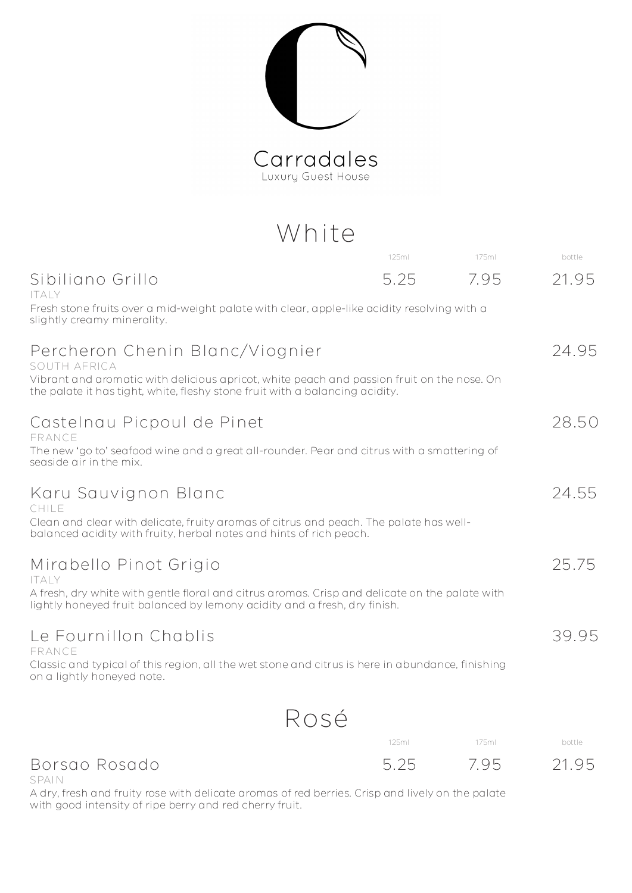Carradales

## White

| 125ml                                                                        | 175ml | bottle                                                                                                                                                                                                                                                                                                                                                                                                                                                                                                                                                                                  |
|------------------------------------------------------------------------------|-------|-----------------------------------------------------------------------------------------------------------------------------------------------------------------------------------------------------------------------------------------------------------------------------------------------------------------------------------------------------------------------------------------------------------------------------------------------------------------------------------------------------------------------------------------------------------------------------------------|
| 5.25                                                                         | 7.95  | 21.95                                                                                                                                                                                                                                                                                                                                                                                                                                                                                                                                                                                   |
|                                                                              |       |                                                                                                                                                                                                                                                                                                                                                                                                                                                                                                                                                                                         |
|                                                                              |       | 24.95                                                                                                                                                                                                                                                                                                                                                                                                                                                                                                                                                                                   |
| the palate it has tight, white, fleshy stone fruit with a balancing acidity. |       |                                                                                                                                                                                                                                                                                                                                                                                                                                                                                                                                                                                         |
|                                                                              |       | 28.50                                                                                                                                                                                                                                                                                                                                                                                                                                                                                                                                                                                   |
|                                                                              |       |                                                                                                                                                                                                                                                                                                                                                                                                                                                                                                                                                                                         |
|                                                                              |       | 24.55                                                                                                                                                                                                                                                                                                                                                                                                                                                                                                                                                                                   |
| balanced acidity with fruity, herbal notes and hints of rich peach.          |       |                                                                                                                                                                                                                                                                                                                                                                                                                                                                                                                                                                                         |
|                                                                              |       | 25.75                                                                                                                                                                                                                                                                                                                                                                                                                                                                                                                                                                                   |
| lightly honeyed fruit balanced by lemony acidity and a fresh, dry finish.    |       |                                                                                                                                                                                                                                                                                                                                                                                                                                                                                                                                                                                         |
|                                                                              |       | 39.95                                                                                                                                                                                                                                                                                                                                                                                                                                                                                                                                                                                   |
|                                                                              |       |                                                                                                                                                                                                                                                                                                                                                                                                                                                                                                                                                                                         |
|                                                                              |       |                                                                                                                                                                                                                                                                                                                                                                                                                                                                                                                                                                                         |
|                                                                              |       | Fresh stone fruits over a mid-weight palate with clear, apple-like acidity resolving with a<br>Vibrant and aromatic with delicious apricot, white peach and passion fruit on the nose. On<br>The new 'go to' seafood wine and a great all-rounder. Pear and citrus with a smattering of<br>Clean and clear with delicate, fruity aromas of citrus and peach. The palate has well-<br>A fresh, dry white with gentle floral and citrus aromas. Crisp and delicate on the palate with<br>Classic and typical of this region, all the wet stone and citrus is here in abundance, finishing |

| 125m | 175m | bottle |
|------|------|--------|
| 5.25 | 7.95 | 21.95  |

Borsao Rosado SPAIN

A dry, fresh and fruity rose with delicate aromas of red berries. Crisp and lively on the palate with good intensity of ripe berry and red cherry fruit.